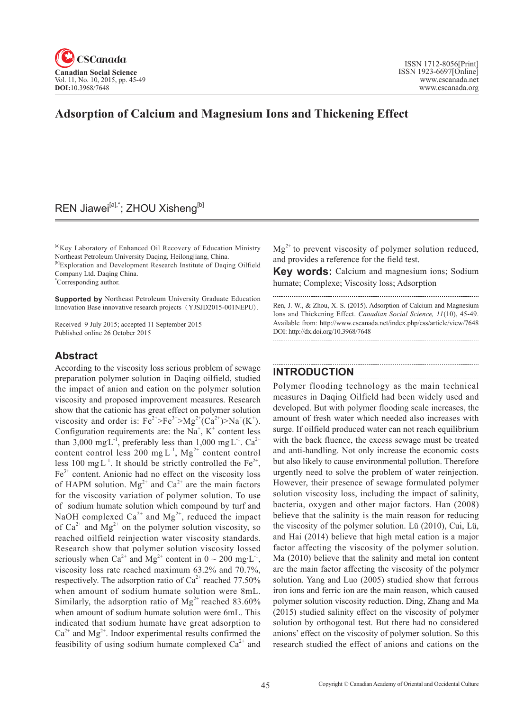

# **Adsorption of Calcium and Magnesium Ions and Thickening Effect**

# REN Jiawei<sup>[a],\*</sup>; ZHOU Xisheng<sup>[b]</sup>

[a]Key Laboratory of Enhanced Oil Recovery of Education Ministry Northeast Petroleum University Daqing, Heilongjiang, China. [b]Exploration and Development Research Institute of Daqing Oilfield Company Ltd. Daqing China.

\* Corresponding author.

**Supported by** Northeast Petroleum University Graduate Education Innovation Base innovative research projects(YJSJD2015-001NEPU).

Received 9 July 2015; accepted 11 September 2015 Published online 26 October 2015

### **Abstract**

According to the viscosity loss serious problem of sewage preparation polymer solution in Daqing oilfield, studied the impact of anion and cation on the polymer solution viscosity and proposed improvement measures. Research show that the cationic has great effect on polymer solution viscosity and order is:  $Fe^{2+} > Fe^{3+} > Mg^{2+}(Ca^{2+}) > Na^{+}(K^{+})$ . Configuration requirements are: the  $Na<sup>+</sup>, K<sup>+</sup>$  content less than 3,000 mg L<sup>-1</sup>, preferably less than 1,000 mg L<sup>-1</sup>. Ca<sup>2+</sup> content control less 200 mg  $L^{-1}$ , Mg<sup>2+</sup> content control less 100 mg $L^{-1}$ . It should be strictly controlled the Fe<sup>2+</sup>,  $Fe<sup>3+</sup>$  content. Anionic had no effect on the viscosity loss of HAPM solution.  $Mg^{2+}$  and  $Ca^{2+}$  are the main factors for the viscosity variation of polymer solution. To use of sodium humate solution which compound by turf and NaOH complexed  $Ca^{2+}$  and  $Mg^{2+}$ , reduced the impact of  $Ca^{2+}$  and  $Mg^{2+}$  on the polymer solution viscosity, so reached oilfield reinjection water viscosity standards. Research show that polymer solution viscosity lossed seriously when  $Ca^{2+}$  and  $Mg^{2+}$  content in  $0 \sim 200$  mg·L<sup>-1</sup>, viscosity loss rate reached maximum 63.2% and 70.7%, respectively. The adsorption ratio of  $Ca^{2+}$  reached 77.50% when amount of sodium humate solution were 8mL. Similarly, the adsorption ratio of  $Mg^{2+}$  reached 83.60% when amount of sodium humate solution were 6mL. This indicated that sodium humate have great adsorption to  $Ca^{2+}$  and  $Mg^{2+}$ . Indoor experimental results confirmed the feasibility of using sodium humate complexed  $Ca^{2+}$  and

 $Mg^{2+}$  to prevent viscosity of polymer solution reduced, and provides a reference for the field test.

**Key words:** Calcium and magnesium ions; Sodium humate; Complexe; Viscosity loss; Adsorption

Ren, J. W., & Zhou, X. S. (2015). Adsorption of Calcium and Magnesium Ions and Thickening Effect. *Canadian Social Science*, <sup>11</sup>(10), 45-49. Available from: http://www.cscanada.net/index.php/css/article/view/7648 DOI: http://dx.doi.org/10.3968/7648

# **INTRODUCTION**

Polymer flooding technology as the main technical measures in Daqing Oilfield had been widely used and developed. But with polymer flooding scale increases, the amount of fresh water which needed also increases with surge. If oilfield produced water can not reach equilibrium with the back fluence, the excess sewage must be treated and anti-handling. Not only increase the economic costs but also likely to cause environmental pollution. Therefore urgently need to solve the problem of water reinjection. However, their presence of sewage formulated polymer solution viscosity loss, including the impact of salinity, bacteria, oxygen and other major factors. Han (2008) believe that the salinity is the main reason for reducing the viscosity of the polymer solution. Lü (2010), Cui, Lü, and Hai (2014) believe that high metal cation is a major factor affecting the viscosity of the polymer solution. Ma (2010) believe that the salinity and metal ion content are the main factor affecting the viscosity of the polymer solution. Yang and Luo (2005) studied show that ferrous iron ions and ferric ion are the main reason, which caused polymer solution viscosity reduction. Ding, Zhang and Ma (2015) studied salinity effect on the viscosity of polymer solution by orthogonal test. But there had no considered anions' effect on the viscosity of polymer solution. So this research studied the effect of anions and cations on the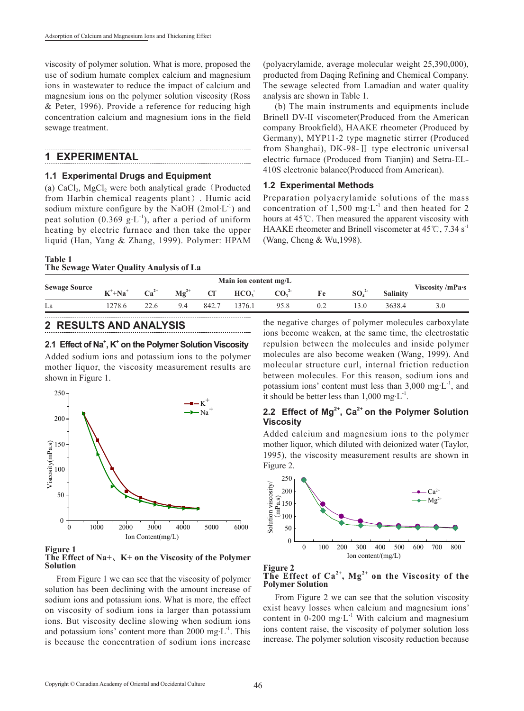viscosity of polymer solution. What is more, proposed the use of sodium humate complex calcium and magnesium ions in wastewater to reduce the impact of calcium and magnesium ions on the polymer solution viscosity (Ross & Peter, 1996). Provide a reference for reducing high concentration calcium and magnesium ions in the field sewage treatment.

### **1 EXPERIMENTAL**

#### **1.1 Experimental Drugs and Equipment**

(a)  $CaCl<sub>2</sub>$ , MgCl<sub>2</sub> were both analytical grade (Producted from Harbin chemical reagents plant). Humic acid sodium mixture configure by the NaOH  $(2 \text{mol} \cdot L^{-1})$  and peat solution (0.369 g·L<sup>-1</sup>), after a period of uniform heating by electric furnace and then take the upper liquid (Han, Yang & Zhang, 1999). Polymer: HPAM

(polyacrylamide, average molecular weight 25,390,000), producted from Daqing Refining and Chemical Company. The sewage selected from Lamadian and water quality analysis are shown in Table 1.

(b) The main instruments and equipments include Brinell DV-II viscometer(Produced from the American company Brookfield), HAAKE rheometer (Produced by Germany), MYP11-2 type magnetic stirrer (Produced from Shanghai), DK-98-Ⅱ type electronic universal electric furnace (Produced from Tianjin) and Setra-EL-410S electronic balance(Produced from American).

### **1.2 Experimental Methods**

Preparation polyacrylamide solutions of the mass concentration of  $1,500$  mg·L<sup>-1</sup> and then heated for 2 hours at 45℃. Then measured the apparent viscosity with HAAKE rheometer and Brinell viscometer at  $45^{\circ}$ C, 7.34 s<sup>-1</sup> (Wang, Cheng & Wu,1998).

#### **Table 1 The Sewage Water Quality Analysis of La**

| <b>Sewage Source</b> |                        |           |                             |       |                  |                 |    |                              |                 |                 |
|----------------------|------------------------|-----------|-----------------------------|-------|------------------|-----------------|----|------------------------------|-----------------|-----------------|
|                      | $K^+$ +Na <sup>+</sup> | $Ca^{2+}$ | $\mathbf{M}\mathbf{g}^{2+}$ | CI    | HCO <sub>3</sub> | CO <sub>2</sub> | Fe | SO <sub>4</sub> <sup>2</sup> | <b>Salinity</b> | Viscosity/mPa-s |
| La                   | .278.6                 |           | 9.4                         | 842.7 | 1376.1           | 95.8            |    | 3.0                          | 3638.4          |                 |

### **2 RESULTS AND ANALYSIS**

### 2.1 Effect of Na<sup>+</sup>, K<sup>+</sup> on the Polymer Solution Viscosity

Added sodium ions and potassium ions to the polymer mother liquor, the viscosity measurement results are shown in Figure 1.



#### **Figure 1 The Effect of Na+**、**K+ on the Viscosity of the Polymer Solution**

From Figure 1 we can see that the viscosity of polymer solution has been declining with the amount increase of sodium ions and potassium ions. What is more, the effect on viscosity of sodium ions ia larger than potassium ions. But viscosity decline slowing when sodium ions and potassium ions' content more than  $2000 \text{ mg} \cdot L^{-1}$ . This is because the concentration of sodium ions increase

the negative charges of polymer molecules carboxylate ions become weaken, at the same time, the electrostatic repulsion between the molecules and inside polymer molecules are also become weaken (Wang, 1999). And molecular structure curl, internal friction reduction between molecules. For this reason, sodium ions and potassium ions' content must less than  $3,000 \text{ mg} \cdot L^{-1}$ , and it should be better less than  $1,000 \text{ mg} \cdot L^{-1}$ .

## **2.2 Effect of Mg2+, Ca2+ on the Polymer Solution Viscosity**

Added calcium and magnesium ions to the polymer mother liquor, which diluted with deionized water (Taylor, 1995), the viscosity measurement results are shown in Figure 2.



#### **Figure 2 The Effect of Ca2+, Mg2+ on the Viscosity of the Polymer Solution**

From Figure 2 we can see that the solution viscosity exist heavy losses when calcium and magnesium ions' content in  $0-200$  mg·L<sup>-1</sup> With calcium and magnesium ions content raise, the viscosity of polymer solution loss increase. The polymer solution viscosity reduction because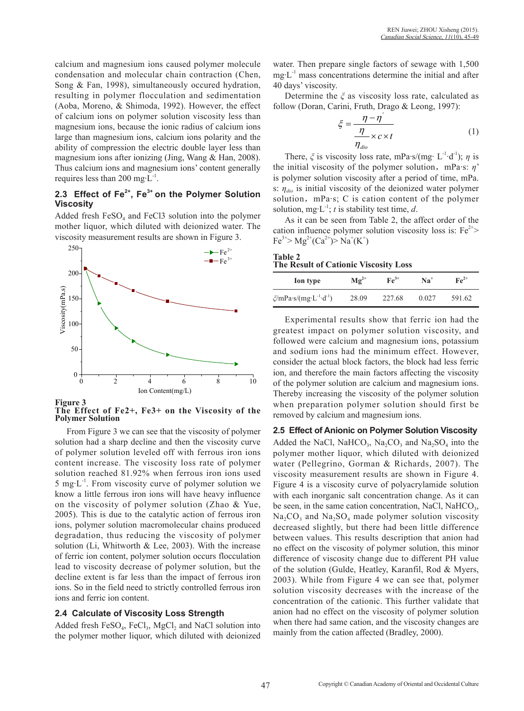calcium and magnesium ions caused polymer molecule condensation and molecular chain contraction (Chen, Song & Fan, 1998), simultaneously occured hydration, resulting in polymer flocculation and sedimentation (Aoba, Moreno, & Shimoda, 1992). However, the effect of calcium ions on polymer solution viscosity less than magnesium ions, because the ionic radius of calcium ions large than magnesium ions, calcium ions polarity and the ability of compression the electric double layer less than magnesium ions after ionizing (Jing, Wang & Han, 2008). Thus calcium ions and magnesium ions' content generally requires less than 200 mg $\cdot L^{-1}$ .

# **2.3 Effect of Fe2+, Fe3+ on the Polymer Solution Viscosity**

Added fresh  $FeSO<sub>4</sub>$  and  $FeCl<sub>3</sub>$  solution into the polymer mother liquor, which diluted with deionized water. The viscosity measurement results are shown in Figure 3.



**Figure 3**



From Figure 3 we can see that the viscosity of polymer solution had a sharp decline and then the viscosity curve of polymer solution leveled off with ferrous iron ions content increase. The viscosity loss rate of polymer solution reached 81.92% when ferrous iron ions used 5 mg $\cdot$ L<sup>-1</sup>. From viscosity curve of polymer solution we know a little ferrous iron ions will have heavy influence on the viscosity of polymer solution (Zhao & Yue, 2005). This is due to the catalytic action of ferrous iron ions, polymer solution macromolecular chains produced degradation, thus reducing the viscosity of polymer solution (Li, Whitworth & Lee, 2003). With the increase of ferric ion content, polymer solution occurs flocculation lead to viscosity decrease of polymer solution, but the decline extent is far less than the impact of ferrous iron ions. So in the field need to strictly controlled ferrous iron ions and ferric ion content.

### **2.4 Calculate of Viscosity Loss Strength**

Added fresh  $FeSO_4$ ,  $FeCl_3$ ,  $MgCl_2$  and NaCl solution into the polymer mother liquor, which diluted with deionized

water. Then prepare single factors of sewage with 1,500  $mg \cdot L^{-1}$  mass concentrations determine the initial and after 40 days' viscosity.

Determine the *ξ* as viscosity loss rate, calculated as follow (Doran, Carini, Fruth, Drago & Leong, 1997):

$$
\xi = \frac{\eta - \eta'}{\frac{\eta}{\eta_{\text{dio}}}}\tag{1}
$$

There,  $\zeta$  is viscosity loss rate, mPa·s/(mg· L<sup>-1</sup>·d<sup>-1</sup>);  $\eta$  is the initial viscosity of the polymer solution, mPa·s: *η*' is polymer solution viscosity after a period of time, mPa. s: *ηdio* is initial viscosity of the deionized water polymer solution, mPa·s; C is cation content of the polymer solution, mg·L<sup>-1</sup>; *t* is stability test time, *d*.

As it can be seen from Table 2, the affect order of the cation influence polymer solution viscosity loss is:  $Fe^{2+}$  $Fe^{3+} > Mg^{2+} (Ca^{2+}) > Na^{+} (K^{+})$ 

| Table 2                               |  |
|---------------------------------------|--|
| The Result of Cationic Viscosity Loss |  |

| Ion type                                        | $\mathbf{Mg}^{2+}$ | $\mathbf{Fe}^{3+}$ | $Na+$ | $\mathbf{Fe}^{2+}$ |
|-------------------------------------------------|--------------------|--------------------|-------|--------------------|
| $\zeta/mPa\cdot s/(mg\cdot L^{-1}\cdot d^{-1})$ | 28.09              | 227.68             | 0.027 | 591.62             |

Experimental results show that ferric ion had the greatest impact on polymer solution viscosity, and followed were calcium and magnesium ions, potassium and sodium ions had the minimum effect. However, consider the actual block factors, the block had less ferric ion, and therefore the main factors affecting the viscosity of the polymer solution are calcium and magnesium ions. Thereby increasing the viscosity of the polymer solution when preparation polymer solution should first be removed by calcium and magnesium ions.

**2.5 Effect of Anionic on Polymer Solution Viscosity**  Added the NaCl, NaHCO<sub>3</sub>, Na<sub>2</sub>CO<sub>3</sub> and Na<sub>2</sub>SO<sub>4</sub> into the polymer mother liquor, which diluted with deionized water (Pellegrino, Gorman & Richards, 2007). The viscosity measurement results are shown in Figure 4. Figure 4 is a viscosity curve of polyacrylamide solution with each inorganic salt concentration change. As it can be seen, in the same cation concentration, NaCl, NaHCO<sub>3</sub>,  $Na_2CO_3$  and  $Na_2SO_4$  made polymer solution viscosity decreased slightly, but there had been little difference between values. This results description that anion had no effect on the viscosity of polymer solution, this minor difference of viscosity change due to different PH value of the solution (Gulde, Heatley, Karanfil, Rod & Myers, 2003). While from Figure 4 we can see that, polymer solution viscosity decreases with the increase of the concentration of the cationic. This further validate that anion had no effect on the viscosity of polymer solution when there had same cation, and the viscosity changes are mainly from the cation affected (Bradley, 2000).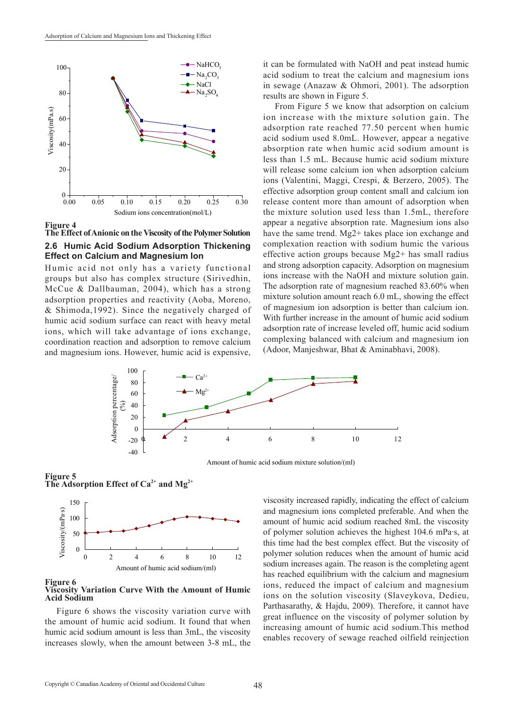

**Figure 4**

### **The Effect of Anionic on the Viscosity of the Polymer Solution 2.6 Humic Acid Sodium Adsorption Thickening Effect on Calcium and Magnesium Ion**

Humic acid not only has a variety functional groups but also has complex structure (Sirivedhin, McCue & Dallbauman, 2004), which has a strong adsorption properties and reactivity (Aoba, Moreno, & Shimoda,1992). Since the negatively charged of humic acid sodium surface can react with heavy metal ions, which will take advantage of ions exchange, coordination reaction and adsorption to remove calcium and magnesium ions. However, humic acid is expensive, it can be formulated with NaOH and peat instead humic acid sodium to treat the calcium and magnesium ions in sewage (Anazaw & Ohmori, 2001). The adsorption results are shown in Figure 5.

From Figure 5 we know that adsorption on calcium ion increase with the mixture solution gain. The adsorption rate reached 77.50 percent when humic acid sodium used 8.0mL. However, appear a negative absorption rate when humic acid sodium amount is less than 1.5 mL. Because humic acid sodium mixture will release some calcium ion when adsorption calcium ions (Valentini, Maggi, Crespi, & Berzero, 2005). The effective adsorption group content small and calcium ion release content more than amount of adsorption when the mixture solution used less than 1.5mL, therefore appear a negative absorption rate. Magnesium ions also have the same trend. Mg2+ takes place ion exchange and complexation reaction with sodium humic the various effective action groups because Mg2+ has small radius and strong adsorption capacity. Adsorption on magnesium ions increase with the NaOH and mixture solution gain. The adsorption rate of magnesium reached 83.60% when mixture solution amount reach 6.0 mL, showing the effect of magnesium ion adsorption is better than calcium ion. With further increase in the amount of humic acid sodium adsorption rate of increase leveled off, humic acid sodium complexing balanced with calcium and magnesium ion (Adoor, Manjeshwar, Bhat & Aminabhavi, 2008).



Amount of humic acid sodium mixture solution/(ml)

**Figure 5** The Adsorption Effect of Ca<sup>2+</sup> and Mg<sup>2+</sup>



**Figure 6 Viscosity Variation Curve With the Amount of Humic Acid Sodium**

Figure 6 shows the viscosity variation curve with the amount of humic acid sodium. It found that when humic acid sodium amount is less than 3mL, the viscosity increases slowly, when the amount between 3-8 mL, the viscosity increased rapidly, indicating the effect of calcium and magnesium ions completed preferable. And when the amount of humic acid sodium reached 8mL the viscosity of polymer solution achieves the highest 104.6 mPa·s, at this time had the best complex effect. But the viscosity of polymer solution reduces when the amount of humic acid sodium increases again. The reason is the completing agent has reached equilibrium with the calcium and magnesium ions, reduced the impact of calcium and magnesium ions on the solution viscosity (Slaveykova, Dedieu, Parthasarathy, & Hajdu, 2009). Therefore, it cannot have great influence on the viscosity of polymer solution by increasing amount of humic acid sodium.This method enables recovery of sewage reached oilfield reinjection